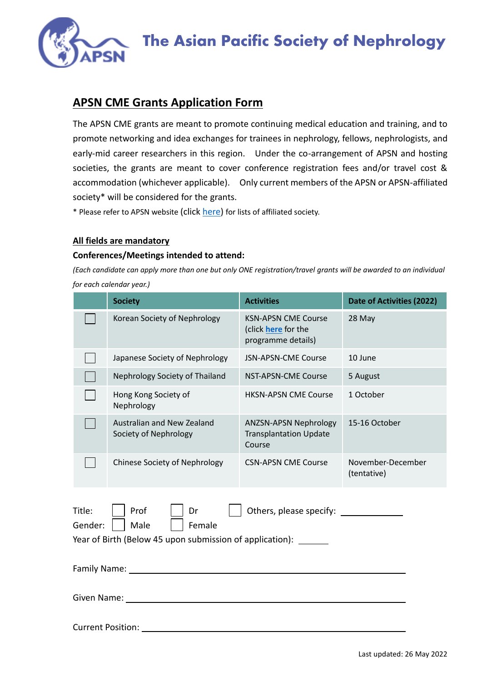

# The Asian Pacific Society of Nephrology

## **APSN CME Grants Application Form**

The APSN CME grants are meant to promote continuing medical education and training, and to promote networking and idea exchanges for trainees in nephrology, fellows, nephrologists, and early-mid career researchers in this region. Under the co-arrangement of APSN and hosting societies, the grants are meant to cover conference registration fees and/or travel cost & accommodation (whichever applicable). Only current members of the APSN or APSN-affiliated society\* will be considered for the grants.

\* Please refer to APSN website (click [here\)](https://www.apsneph.org/web/national-and-regional-societies.html) for lists of affiliated society.

#### **All fields are mandatory**

#### **Conferences/Meetings intended to attend:**

*(Each candidate can apply more than one but only ONE registration/travel grants will be awarded to an individual for each calendar year.)*

|                                                                                                                                                                    | <b>Society</b>                                      | <b>Activities</b>                                                       | Date of Activities (2022)        |
|--------------------------------------------------------------------------------------------------------------------------------------------------------------------|-----------------------------------------------------|-------------------------------------------------------------------------|----------------------------------|
|                                                                                                                                                                    | Korean Society of Nephrology                        | <b>KSN-APSN CME Course</b><br>(click here for the<br>programme details) | 28 May                           |
|                                                                                                                                                                    | Japanese Society of Nephrology                      | <b>JSN-APSN-CME Course</b>                                              | 10 June                          |
|                                                                                                                                                                    | Nephrology Society of Thailand                      | <b>NST-APSN-CME Course</b>                                              | 5 August                         |
|                                                                                                                                                                    | Hong Kong Society of<br>Nephrology                  | <b>HKSN-APSN CME Course</b>                                             | 1 October                        |
|                                                                                                                                                                    | Australian and New Zealand<br>Society of Nephrology | <b>ANZSN-APSN Nephrology</b><br><b>Transplantation Update</b><br>Course | 15-16 October                    |
|                                                                                                                                                                    | <b>Chinese Society of Nephrology</b>                | <b>CSN-APSN CME Course</b>                                              | November-December<br>(tentative) |
| Title:<br>Prof<br>Others, please specify: <u>containing</u><br>Dr<br>Male<br>Gender:<br>Female<br>Year of Birth (Below 45 upon submission of application): _______ |                                                     |                                                                         |                                  |
| Family Name: 1988                                                                                                                                                  |                                                     |                                                                         |                                  |
|                                                                                                                                                                    |                                                     |                                                                         |                                  |
| <b>Current Position:</b>                                                                                                                                           |                                                     |                                                                         |                                  |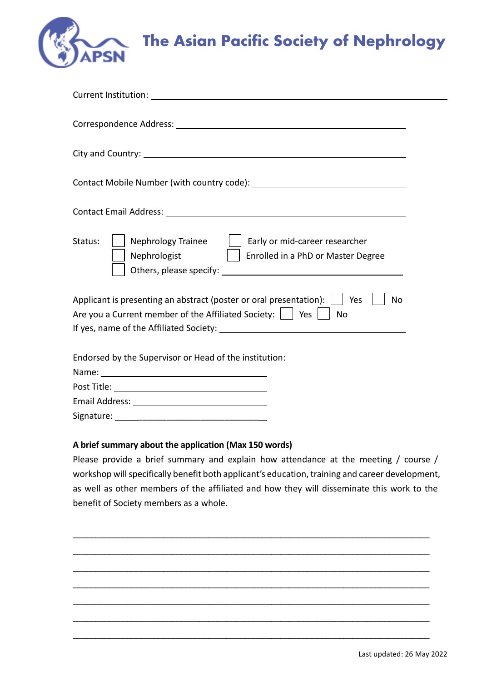

| <b>Current Institution:</b> The contract of the contract of the contract of the contract of the contract of the contract of the contract of the contract of the contract of the contract of the contract of the contract of the con |  |  |  |
|-------------------------------------------------------------------------------------------------------------------------------------------------------------------------------------------------------------------------------------|--|--|--|
| Correspondence Address: National Correspondence Address: National Correspondence Address: National Correspondence Address: National Correspondence Address: National Correspondence Address: National Correspondence Address:       |  |  |  |
|                                                                                                                                                                                                                                     |  |  |  |
|                                                                                                                                                                                                                                     |  |  |  |
|                                                                                                                                                                                                                                     |  |  |  |
| <b>Nephrology Trainee</b><br>Early or mid-career researcher<br>Status:<br>$\mathbf{L}$<br>Nephrologist<br>  Enrolled in a PhD or Master Degree                                                                                      |  |  |  |
| Applicant is presenting an abstract (poster or oral presentation):<br>Yes<br><b>No</b>                                                                                                                                              |  |  |  |
| Are you a Current member of the Affiliated Society: $\vert \ \vert$ Yes<br>No                                                                                                                                                       |  |  |  |
|                                                                                                                                                                                                                                     |  |  |  |
| Endorsed by the Supervisor or Head of the institution:                                                                                                                                                                              |  |  |  |
|                                                                                                                                                                                                                                     |  |  |  |
|                                                                                                                                                                                                                                     |  |  |  |
|                                                                                                                                                                                                                                     |  |  |  |
|                                                                                                                                                                                                                                     |  |  |  |

### **A brief summary about the application (Max 150 words)**

Please provide a brief summary and explain how attendance at the meeting / course / workshop will specifically benefit both applicant's education, training and career development, as well as other members of the affiliated and how they will disseminate this work to the benefit of Society members as a whole.

\_\_\_\_\_\_\_\_\_\_\_\_\_\_\_\_\_\_\_\_\_\_\_\_\_\_\_\_\_\_\_\_\_\_\_\_\_\_\_\_\_\_\_\_\_\_\_\_\_\_\_\_\_\_\_\_\_\_\_\_\_\_\_\_\_\_\_\_\_\_\_\_\_\_\_\_\_\_\_

\_\_\_\_\_\_\_\_\_\_\_\_\_\_\_\_\_\_\_\_\_\_\_\_\_\_\_\_\_\_\_\_\_\_\_\_\_\_\_\_\_\_\_\_\_\_\_\_\_\_\_\_\_\_\_\_\_\_\_\_\_\_\_\_\_\_\_\_\_\_\_\_\_\_\_\_\_\_\_

\_\_\_\_\_\_\_\_\_\_\_\_\_\_\_\_\_\_\_\_\_\_\_\_\_\_\_\_\_\_\_\_\_\_\_\_\_\_\_\_\_\_\_\_\_\_\_\_\_\_\_\_\_\_\_\_\_\_\_\_\_\_\_\_\_\_\_\_\_\_\_\_\_\_\_\_\_\_\_

\_\_\_\_\_\_\_\_\_\_\_\_\_\_\_\_\_\_\_\_\_\_\_\_\_\_\_\_\_\_\_\_\_\_\_\_\_\_\_\_\_\_\_\_\_\_\_\_\_\_\_\_\_\_\_\_\_\_\_\_\_\_\_\_\_\_\_\_\_\_\_\_\_\_\_\_\_\_\_

\_\_\_\_\_\_\_\_\_\_\_\_\_\_\_\_\_\_\_\_\_\_\_\_\_\_\_\_\_\_\_\_\_\_\_\_\_\_\_\_\_\_\_\_\_\_\_\_\_\_\_\_\_\_\_\_\_\_\_\_\_\_\_\_\_\_\_\_\_\_\_\_\_\_\_\_\_\_\_

\_\_\_\_\_\_\_\_\_\_\_\_\_\_\_\_\_\_\_\_\_\_\_\_\_\_\_\_\_\_\_\_\_\_\_\_\_\_\_\_\_\_\_\_\_\_\_\_\_\_\_\_\_\_\_\_\_\_\_\_\_\_\_\_\_\_\_\_\_\_\_\_\_\_\_\_\_\_\_

\_\_\_\_\_\_\_\_\_\_\_\_\_\_\_\_\_\_\_\_\_\_\_\_\_\_\_\_\_\_\_\_\_\_\_\_\_\_\_\_\_\_\_\_\_\_\_\_\_\_\_\_\_\_\_\_\_\_\_\_\_\_\_\_\_\_\_\_\_\_\_\_\_\_\_\_\_\_\_